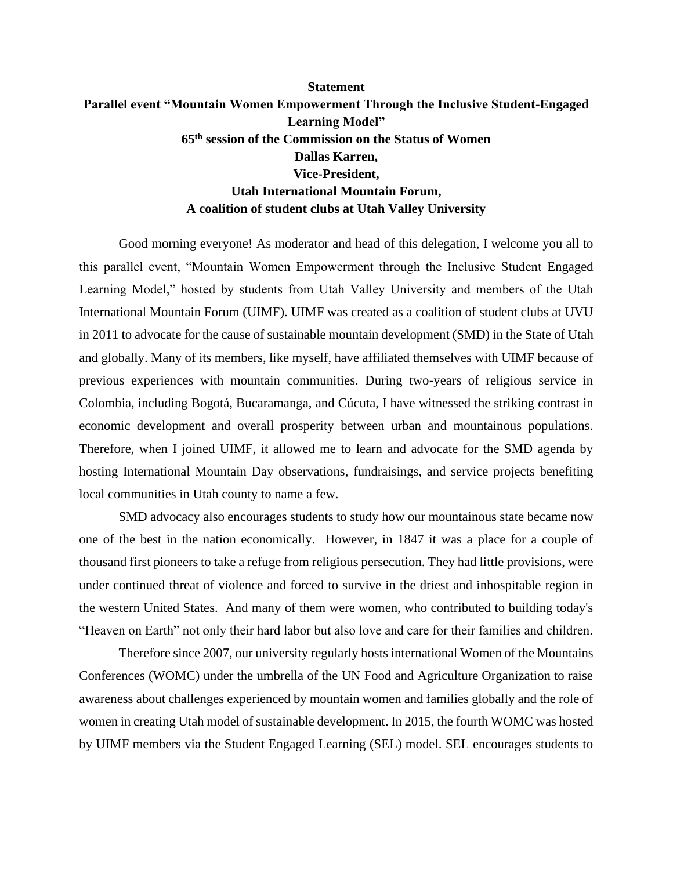## **Statement Parallel event "Mountain Women Empowerment Through the Inclusive Student-Engaged Learning Model" 65th session of the Commission on the Status of Women Dallas Karren, Vice-President, Utah International Mountain Forum, A coalition of student clubs at Utah Valley University**

Good morning everyone! As moderator and head of this delegation, I welcome you all to this parallel event, "Mountain Women Empowerment through the Inclusive Student Engaged Learning Model," hosted by students from Utah Valley University and members of the Utah International Mountain Forum (UIMF). UIMF was created as a coalition of student clubs at UVU in 2011 to advocate for the cause of sustainable mountain development (SMD) in the State of Utah and globally. Many of its members, like myself, have affiliated themselves with UIMF because of previous experiences with mountain communities. During two-years of religious service in Colombia, including Bogotá, Bucaramanga, and Cúcuta, I have witnessed the striking contrast in economic development and overall prosperity between urban and mountainous populations. Therefore, when I joined UIMF, it allowed me to learn and advocate for the SMD agenda by hosting International Mountain Day observations, fundraisings, and service projects benefiting local communities in Utah county to name a few.

SMD advocacy also encourages students to study how our mountainous state became now one of the best in the nation economically. However, in 1847 it was a place for a couple of thousand first pioneers to take a refuge from religious persecution. They had little provisions, were under continued threat of violence and forced to survive in the driest and inhospitable region in the western United States. And many of them were women, who contributed to building today's "Heaven on Earth" not only their hard labor but also love and care for their families and children.

Therefore since 2007, our university regularly hosts international Women of the Mountains Conferences (WOMC) under the umbrella of the UN Food and Agriculture Organization to raise awareness about challenges experienced by mountain women and families globally and the role of women in creating Utah model of sustainable development. In 2015, the fourth WOMC was hosted by UIMF members via the Student Engaged Learning (SEL) model. SEL encourages students to